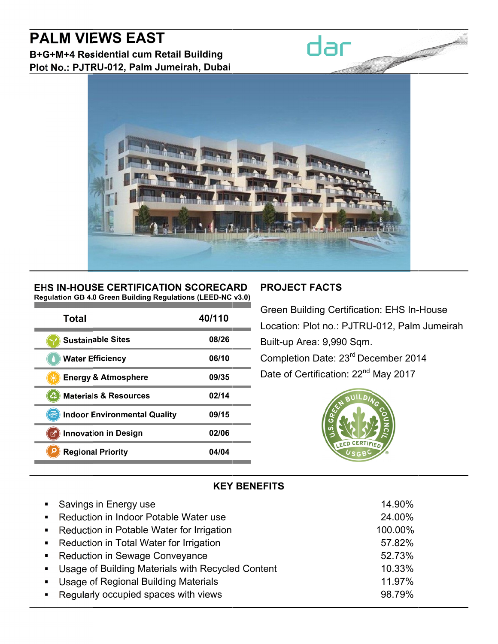# **PALM VIEWS EAST**

B+G+M+4 Residential cum Retail Building Plot No.: PJTRU-012, Palm Jumeirah, Dubai



#### EHS IN-HOUSE CERTIFICATION SCORECARD Regulation GB 4.0 Green Building Regulations (LEED-NC v3.0)

| Total                               | 40/110 |
|-------------------------------------|--------|
| <b>Sustainable Sites</b>            | 08/26  |
| <b>Water Efficiency</b>             | 06/10  |
| <b>Energy &amp; Atmosphere</b>      | 09/35  |
| <b>Materials &amp; Resources</b>    | 02/14  |
| <b>Indoor Environmental Quality</b> | 09/15  |
| <b>Innovation in Design</b>         | 02/06  |
| <b>Regional Priority</b>            | 04/04  |

# **PROJECT FACTS**

dar

**Green Building Certification: EHS In-House** Location: Plot no.: PJTRU-012, Palm Jumeirah Built-up Area: 9,990 Sqm. Completion Date: 23rd December 2014 Date of Certification: 22<sup>nd</sup> May 2017



# **KEY BENEFITS**

| • Savings in Energy use                             | 14.90%  |
|-----------------------------------------------------|---------|
| • Reduction in Indoor Potable Water use             | 24.00%  |
| • Reduction in Potable Water for Irrigation         | 100.00% |
| • Reduction in Total Water for Irrigation           | 57.82%  |
| • Reduction in Sewage Conveyance                    | 52.73%  |
| • Usage of Building Materials with Recycled Content | 10.33%  |
| • Usage of Regional Building Materials              | 11.97%  |
| • Regularly occupied spaces with views              | 98.79%  |